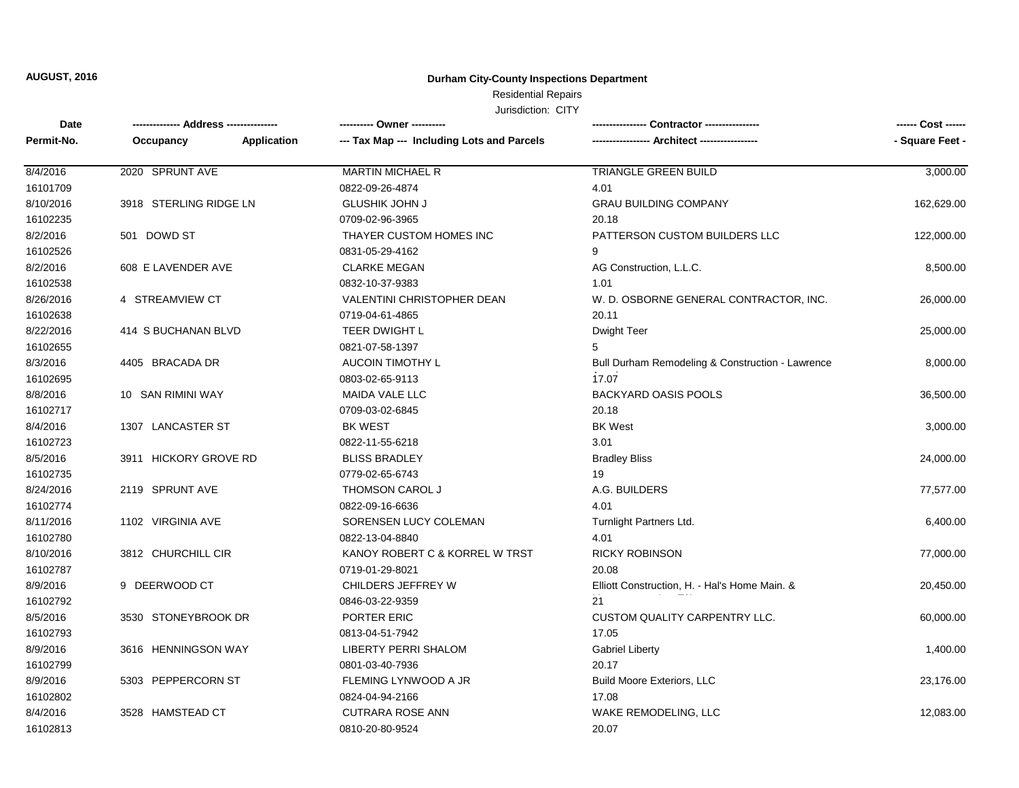#### **Durham City-County Inspections Department**

### Residential Repairs

| Date       |                        |             | ---------- Owner ----------                |                                                  | ------ Cost ------ |
|------------|------------------------|-------------|--------------------------------------------|--------------------------------------------------|--------------------|
| Permit-No. | Occupancy              | Application | --- Tax Map --- Including Lots and Parcels |                                                  | - Square Feet -    |
| 8/4/2016   | 2020 SPRUNT AVE        |             | <b>MARTIN MICHAEL R</b>                    | <b>TRIANGLE GREEN BUILD</b>                      | 3,000.00           |
| 16101709   |                        |             | 0822-09-26-4874                            | 4.01                                             |                    |
| 8/10/2016  | 3918 STERLING RIDGE LN |             | <b>GLUSHIK JOHN J</b>                      | <b>GRAU BUILDING COMPANY</b>                     | 162,629.00         |
| 16102235   |                        |             | 0709-02-96-3965                            | 20.18                                            |                    |
| 8/2/2016   | 501 DOWD ST            |             | THAYER CUSTOM HOMES INC                    | PATTERSON CUSTOM BUILDERS LLC                    | 122,000.00         |
| 16102526   |                        |             | 0831-05-29-4162                            | 9                                                |                    |
| 8/2/2016   | 608 E LAVENDER AVE     |             | <b>CLARKE MEGAN</b>                        | AG Construction, L.L.C.                          | 8,500.00           |
| 16102538   |                        |             | 0832-10-37-9383                            | 1.01                                             |                    |
| 8/26/2016  | 4 STREAMVIEW CT        |             | <b>VALENTINI CHRISTOPHER DEAN</b>          | W. D. OSBORNE GENERAL CONTRACTOR, INC.           | 26,000.00          |
| 16102638   |                        |             | 0719-04-61-4865                            | 20.11                                            |                    |
| 8/22/2016  | 414 S BUCHANAN BLVD    |             | <b>TEER DWIGHT L</b>                       | <b>Dwight Teer</b>                               | 25,000.00          |
| 16102655   |                        |             | 0821-07-58-1397                            | 5                                                |                    |
| 8/3/2016   | 4405 BRACADA DR        |             | <b>AUCOIN TIMOTHY L</b>                    | Bull Durham Remodeling & Construction - Lawrence | 8,000.00           |
| 16102695   |                        |             | 0803-02-65-9113                            | 17.07                                            |                    |
| 8/8/2016   | 10 SAN RIMINI WAY      |             | <b>MAIDA VALE LLC</b>                      | <b>BACKYARD OASIS POOLS</b>                      | 36,500.00          |
| 16102717   |                        |             | 0709-03-02-6845                            | 20.18                                            |                    |
| 8/4/2016   | 1307 LANCASTER ST      |             | <b>BK WEST</b>                             | <b>BK West</b>                                   | 3,000.00           |
| 16102723   |                        |             | 0822-11-55-6218                            | 3.01                                             |                    |
| 8/5/2016   | 3911 HICKORY GROVE RD  |             | <b>BLISS BRADLEY</b>                       | <b>Bradley Bliss</b>                             | 24,000.00          |
| 16102735   |                        |             | 0779-02-65-6743                            | 19                                               |                    |
| 8/24/2016  | 2119 SPRUNT AVE        |             | <b>THOMSON CAROL J</b>                     | A.G. BUILDERS                                    | 77,577.00          |
| 16102774   |                        |             | 0822-09-16-6636                            | 4.01                                             |                    |
| 8/11/2016  | 1102 VIRGINIA AVE      |             | SORENSEN LUCY COLEMAN                      | Turnlight Partners Ltd.                          | 6,400.00           |
| 16102780   |                        |             | 0822-13-04-8840                            | 4.01                                             |                    |
| 8/10/2016  | 3812 CHURCHILL CIR     |             | KANOY ROBERT C & KORREL W TRST             | <b>RICKY ROBINSON</b>                            | 77,000.00          |
| 16102787   |                        |             | 0719-01-29-8021                            | 20.08                                            |                    |
| 8/9/2016   | 9 DEERWOOD CT          |             | CHILDERS JEFFREY W                         | Elliott Construction, H. - Hal's Home Main. &    | 20,450.00          |
| 16102792   |                        |             | 0846-03-22-9359                            | 21                                               |                    |
| 8/5/2016   | 3530 STONEYBROOK DR    |             | PORTER ERIC                                | CUSTOM QUALITY CARPENTRY LLC.                    | 60,000.00          |
| 16102793   |                        |             | 0813-04-51-7942                            | 17.05                                            |                    |
| 8/9/2016   | 3616 HENNINGSON WAY    |             | <b>LIBERTY PERRI SHALOM</b>                | <b>Gabriel Liberty</b>                           | 1,400.00           |
| 16102799   |                        |             | 0801-03-40-7936                            | 20.17                                            |                    |
| 8/9/2016   | 5303 PEPPERCORN ST     |             | FLEMING LYNWOOD A JR                       | <b>Build Moore Exteriors, LLC</b>                | 23,176.00          |
| 16102802   |                        |             | 0824-04-94-2166                            | 17.08                                            |                    |
| 8/4/2016   | 3528 HAMSTEAD CT       |             | <b>CUTRARA ROSE ANN</b>                    | WAKE REMODELING, LLC                             | 12,083.00          |
| 16102813   |                        |             | 0810-20-80-9524                            | 20.07                                            |                    |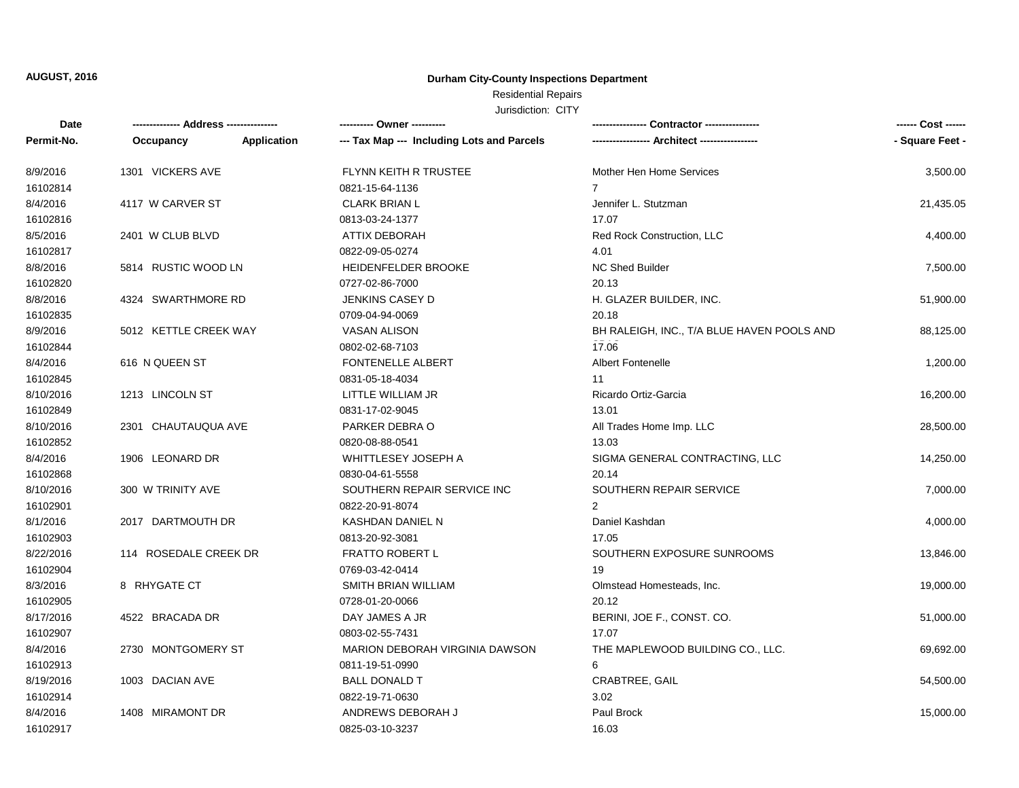#### **Durham City-County Inspections Department**

## Residential Repairs

| Date       | -------------- Address --------------- |             | ---------- Owner ----------                |                                            | ------ Cost ------ |
|------------|----------------------------------------|-------------|--------------------------------------------|--------------------------------------------|--------------------|
| Permit-No. | Occupancy                              | Application | --- Tax Map --- Including Lots and Parcels |                                            | - Square Feet -    |
| 8/9/2016   | 1301 VICKERS AVE                       |             | FLYNN KEITH R TRUSTEE                      | Mother Hen Home Services                   | 3,500.00           |
| 16102814   |                                        |             | 0821-15-64-1136                            | $\overline{7}$                             |                    |
| 8/4/2016   | 4117 W CARVER ST                       |             | <b>CLARK BRIAN L</b>                       | Jennifer L. Stutzman                       | 21,435.05          |
| 16102816   |                                        |             | 0813-03-24-1377                            | 17.07                                      |                    |
| 8/5/2016   | 2401 W CLUB BLVD                       |             | <b>ATTIX DEBORAH</b>                       | Red Rock Construction, LLC                 | 4,400.00           |
| 16102817   |                                        |             | 0822-09-05-0274                            | 4.01                                       |                    |
| 8/8/2016   | 5814 RUSTIC WOOD LN                    |             | HEIDENFELDER BROOKE                        | NC Shed Builder                            | 7,500.00           |
| 16102820   |                                        |             | 0727-02-86-7000                            | 20.13                                      |                    |
| 8/8/2016   | 4324 SWARTHMORE RD                     |             | JENKINS CASEY D                            | H. GLAZER BUILDER, INC.                    | 51,900.00          |
| 16102835   |                                        |             | 0709-04-94-0069                            | 20.18                                      |                    |
| 8/9/2016   | 5012 KETTLE CREEK WAY                  |             | <b>VASAN ALISON</b>                        | BH RALEIGH, INC., T/A BLUE HAVEN POOLS AND | 88,125.00          |
| 16102844   |                                        |             | 0802-02-68-7103                            | 17.06                                      |                    |
| 8/4/2016   | 616 N QUEEN ST                         |             | <b>FONTENELLE ALBERT</b>                   | <b>Albert Fontenelle</b>                   | 1,200.00           |
| 16102845   |                                        |             | 0831-05-18-4034                            | 11                                         |                    |
| 8/10/2016  | 1213 LINCOLN ST                        |             | LITTLE WILLIAM JR                          | Ricardo Ortiz-Garcia                       | 16,200.00          |
| 16102849   |                                        |             | 0831-17-02-9045                            | 13.01                                      |                    |
| 8/10/2016  | 2301 CHAUTAUQUA AVE                    |             | PARKER DEBRA O                             | All Trades Home Imp. LLC                   | 28,500.00          |
| 16102852   |                                        |             | 0820-08-88-0541                            | 13.03                                      |                    |
| 8/4/2016   | 1906 LEONARD DR                        |             | WHITTLESEY JOSEPH A                        | SIGMA GENERAL CONTRACTING, LLC             | 14,250.00          |
| 16102868   |                                        |             | 0830-04-61-5558                            | 20.14                                      |                    |
| 8/10/2016  | 300 W TRINITY AVE                      |             | SOUTHERN REPAIR SERVICE INC                | SOUTHERN REPAIR SERVICE                    | 7,000.00           |
| 16102901   |                                        |             | 0822-20-91-8074                            | $\overline{2}$                             |                    |
| 8/1/2016   | 2017 DARTMOUTH DR                      |             | KASHDAN DANIEL N                           | Daniel Kashdan                             | 4,000.00           |
| 16102903   |                                        |             | 0813-20-92-3081                            | 17.05                                      |                    |
| 8/22/2016  | 114 ROSEDALE CREEK DR                  |             | <b>FRATTO ROBERT L</b>                     | SOUTHERN EXPOSURE SUNROOMS                 | 13,846.00          |
| 16102904   |                                        |             | 0769-03-42-0414                            | 19                                         |                    |
| 8/3/2016   | 8 RHYGATE CT                           |             | SMITH BRIAN WILLIAM                        | Olmstead Homesteads, Inc.                  | 19,000.00          |
| 16102905   |                                        |             | 0728-01-20-0066                            | 20.12                                      |                    |
| 8/17/2016  | 4522 BRACADA DR                        |             | DAY JAMES A JR                             | BERINI, JOE F., CONST. CO.                 | 51,000.00          |
| 16102907   |                                        |             | 0803-02-55-7431                            | 17.07                                      |                    |
| 8/4/2016   | 2730 MONTGOMERY ST                     |             | <b>MARION DEBORAH VIRGINIA DAWSON</b>      | THE MAPLEWOOD BUILDING CO., LLC.           | 69,692.00          |
| 16102913   |                                        |             | 0811-19-51-0990                            | 6                                          |                    |
| 8/19/2016  | 1003 DACIAN AVE                        |             | <b>BALL DONALD T</b>                       | CRABTREE, GAIL                             | 54,500.00          |
| 16102914   |                                        |             | 0822-19-71-0630                            | 3.02                                       |                    |
| 8/4/2016   | 1408 MIRAMONT DR                       |             | ANDREWS DEBORAH J                          | Paul Brock                                 | 15,000.00          |
| 16102917   |                                        |             | 0825-03-10-3237                            | 16.03                                      |                    |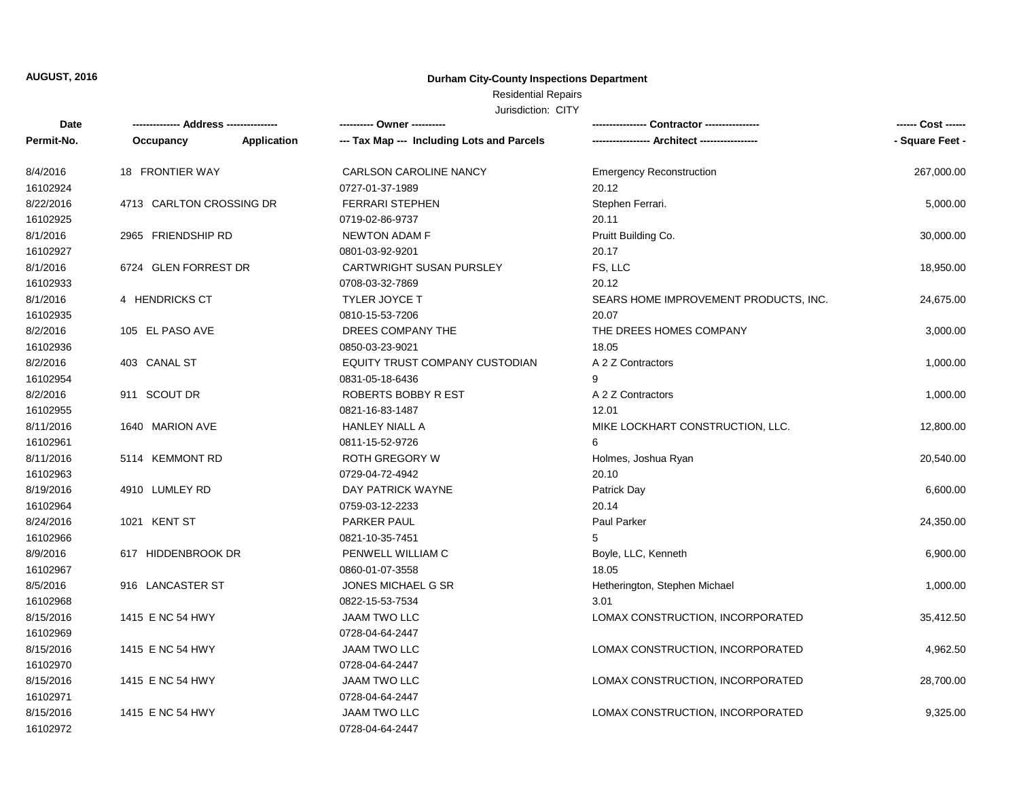#### **Durham City-County Inspections Department**

### Residential Repairs

| Date       | -------------- Address --------------- |             | ---------- Owner ----------                |                                       | ------ Cost ------ |
|------------|----------------------------------------|-------------|--------------------------------------------|---------------------------------------|--------------------|
| Permit-No. | Occupancy                              | Application | --- Tax Map --- Including Lots and Parcels |                                       | - Square Feet -    |
| 8/4/2016   | 18 FRONTIER WAY                        |             | <b>CARLSON CAROLINE NANCY</b>              | <b>Emergency Reconstruction</b>       | 267,000.00         |
| 16102924   |                                        |             | 0727-01-37-1989                            | 20.12                                 |                    |
| 8/22/2016  | 4713 CARLTON CROSSING DR               |             | <b>FERRARI STEPHEN</b>                     | Stephen Ferrari.                      | 5,000.00           |
| 16102925   |                                        |             | 0719-02-86-9737                            | 20.11                                 |                    |
| 8/1/2016   | 2965 FRIENDSHIP RD                     |             | <b>NEWTON ADAM F</b>                       | Pruitt Building Co.                   | 30,000.00          |
| 16102927   |                                        |             | 0801-03-92-9201                            | 20.17                                 |                    |
| 8/1/2016   | 6724 GLEN FORREST DR                   |             | <b>CARTWRIGHT SUSAN PURSLEY</b>            | FS, LLC                               | 18,950.00          |
| 16102933   |                                        |             | 0708-03-32-7869                            | 20.12                                 |                    |
| 8/1/2016   | 4 HENDRICKS CT                         |             | <b>TYLER JOYCE T</b>                       | SEARS HOME IMPROVEMENT PRODUCTS, INC. | 24,675.00          |
| 16102935   |                                        |             | 0810-15-53-7206                            | 20.07                                 |                    |
| 8/2/2016   | 105 EL PASO AVE                        |             | DREES COMPANY THE                          | THE DREES HOMES COMPANY               | 3,000.00           |
| 16102936   |                                        |             | 0850-03-23-9021                            | 18.05                                 |                    |
| 8/2/2016   | 403 CANAL ST                           |             | EQUITY TRUST COMPANY CUSTODIAN             | A 2 Z Contractors                     | 1,000.00           |
| 16102954   |                                        |             | 0831-05-18-6436                            | 9                                     |                    |
| 8/2/2016   | 911 SCOUT DR                           |             | ROBERTS BOBBY R EST                        | A 2 Z Contractors                     | 1,000.00           |
| 16102955   |                                        |             | 0821-16-83-1487                            | 12.01                                 |                    |
| 8/11/2016  | 1640 MARION AVE                        |             | <b>HANLEY NIALL A</b>                      | MIKE LOCKHART CONSTRUCTION, LLC.      | 12,800.00          |
| 16102961   |                                        |             | 0811-15-52-9726                            | 6                                     |                    |
| 8/11/2016  | 5114 KEMMONT RD                        |             | <b>ROTH GREGORY W</b>                      | Holmes, Joshua Ryan                   | 20,540.00          |
| 16102963   |                                        |             | 0729-04-72-4942                            | 20.10                                 |                    |
| 8/19/2016  | 4910 LUMLEY RD                         |             | DAY PATRICK WAYNE                          | Patrick Day                           | 6,600.00           |
| 16102964   |                                        |             | 0759-03-12-2233                            | 20.14                                 |                    |
| 8/24/2016  | 1021 KENT ST                           |             | PARKER PAUL                                | Paul Parker                           | 24,350.00          |
| 16102966   |                                        |             | 0821-10-35-7451                            | 5                                     |                    |
| 8/9/2016   | 617 HIDDENBROOK DR                     |             | PENWELL WILLIAM C                          | Boyle, LLC, Kenneth                   | 6,900.00           |
| 16102967   |                                        |             | 0860-01-07-3558                            | 18.05                                 |                    |
| 8/5/2016   | 916 LANCASTER ST                       |             | JONES MICHAEL G SR                         | Hetherington, Stephen Michael         | 1,000.00           |
| 16102968   |                                        |             | 0822-15-53-7534                            | 3.01                                  |                    |
| 8/15/2016  | 1415 E NC 54 HWY                       |             | <b>JAAM TWO LLC</b>                        | LOMAX CONSTRUCTION, INCORPORATED      | 35,412.50          |
| 16102969   |                                        |             | 0728-04-64-2447                            |                                       |                    |
| 8/15/2016  | 1415 E NC 54 HWY                       |             | <b>JAAM TWO LLC</b>                        | LOMAX CONSTRUCTION, INCORPORATED      | 4,962.50           |
| 16102970   |                                        |             | 0728-04-64-2447                            |                                       |                    |
| 8/15/2016  | 1415 E NC 54 HWY                       |             | JAAM TWO LLC                               | LOMAX CONSTRUCTION, INCORPORATED      | 28,700.00          |
| 16102971   |                                        |             | 0728-04-64-2447                            |                                       |                    |
| 8/15/2016  | 1415 E NC 54 HWY                       |             | JAAM TWO LLC                               | LOMAX CONSTRUCTION, INCORPORATED      | 9,325.00           |
| 16102972   |                                        |             | 0728-04-64-2447                            |                                       |                    |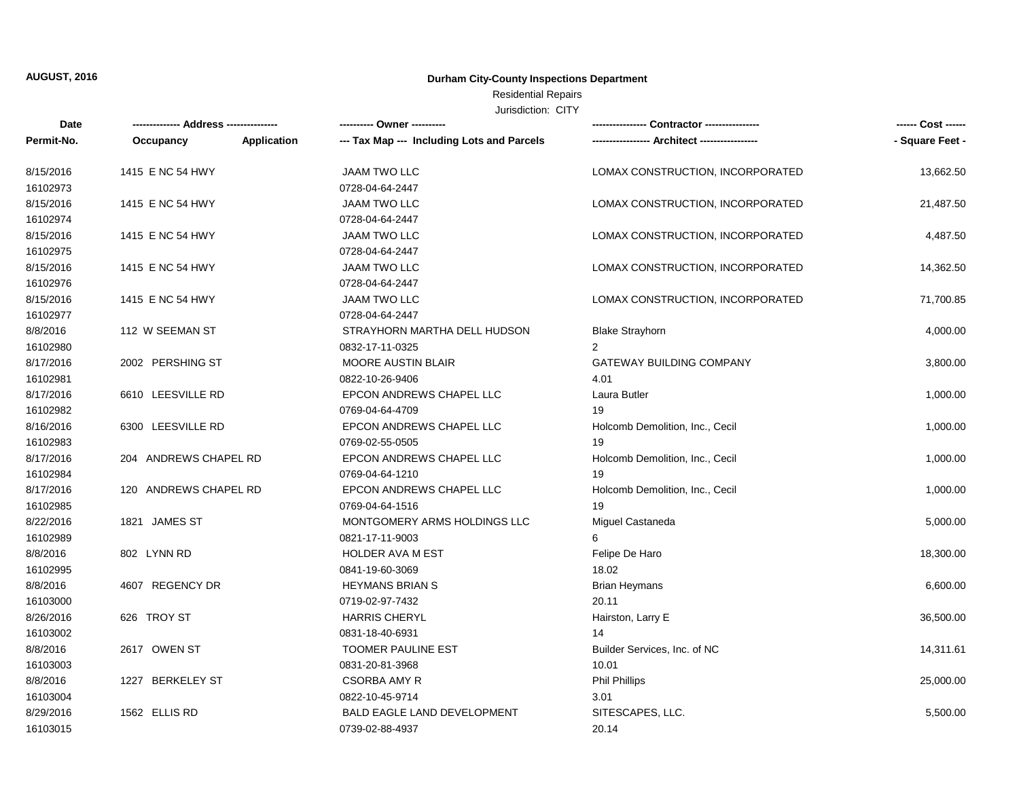#### **Durham City-County Inspections Department**

# Residential Repairs

| Date       |                       |             | ---------- Owner ----------                | --- Contractor ---------------   | ------ Cost ------ |
|------------|-----------------------|-------------|--------------------------------------------|----------------------------------|--------------------|
| Permit-No. | Occupancy             | Application | --- Tax Map --- Including Lots and Parcels |                                  | - Square Feet -    |
| 8/15/2016  | 1415 E NC 54 HWY      |             | <b>JAAM TWO LLC</b>                        | LOMAX CONSTRUCTION, INCORPORATED | 13,662.50          |
| 16102973   |                       |             | 0728-04-64-2447                            |                                  |                    |
| 8/15/2016  | 1415 E NC 54 HWY      |             | <b>JAAM TWO LLC</b>                        | LOMAX CONSTRUCTION, INCORPORATED | 21,487.50          |
| 16102974   |                       |             | 0728-04-64-2447                            |                                  |                    |
| 8/15/2016  | 1415 E NC 54 HWY      |             | <b>JAAM TWO LLC</b>                        | LOMAX CONSTRUCTION, INCORPORATED | 4,487.50           |
| 16102975   |                       |             | 0728-04-64-2447                            |                                  |                    |
| 8/15/2016  | 1415 E NC 54 HWY      |             | <b>JAAM TWO LLC</b>                        | LOMAX CONSTRUCTION, INCORPORATED | 14,362.50          |
| 16102976   |                       |             | 0728-04-64-2447                            |                                  |                    |
| 8/15/2016  | 1415 E NC 54 HWY      |             | <b>JAAM TWO LLC</b>                        | LOMAX CONSTRUCTION, INCORPORATED | 71,700.85          |
| 16102977   |                       |             | 0728-04-64-2447                            |                                  |                    |
| 8/8/2016   | 112 W SEEMAN ST       |             | STRAYHORN MARTHA DELL HUDSON               | <b>Blake Strayhorn</b>           | 4,000.00           |
| 16102980   |                       |             | 0832-17-11-0325                            | $\mathcal{P}$                    |                    |
| 8/17/2016  | 2002 PERSHING ST      |             | <b>MOORE AUSTIN BLAIR</b>                  | <b>GATEWAY BUILDING COMPANY</b>  | 3,800.00           |
| 16102981   |                       |             | 0822-10-26-9406                            | 4.01                             |                    |
| 8/17/2016  | 6610 LEESVILLE RD     |             | EPCON ANDREWS CHAPEL LLC                   | Laura Butler                     | 1,000.00           |
| 16102982   |                       |             | 0769-04-64-4709                            | 19                               |                    |
| 8/16/2016  | 6300 LEESVILLE RD     |             | EPCON ANDREWS CHAPEL LLC                   | Holcomb Demolition, Inc., Cecil  | 1,000.00           |
| 16102983   |                       |             | 0769-02-55-0505                            | 19                               |                    |
| 8/17/2016  | 204 ANDREWS CHAPEL RD |             | EPCON ANDREWS CHAPEL LLC                   | Holcomb Demolition, Inc., Cecil  | 1,000.00           |
| 16102984   |                       |             | 0769-04-64-1210                            | 19                               |                    |
| 8/17/2016  | 120 ANDREWS CHAPEL RD |             | EPCON ANDREWS CHAPEL LLC                   | Holcomb Demolition, Inc., Cecil  | 1,000.00           |
| 16102985   |                       |             | 0769-04-64-1516                            | 19                               |                    |
| 8/22/2016  | 1821 JAMES ST         |             | MONTGOMERY ARMS HOLDINGS LLC               | Miguel Castaneda                 | 5,000.00           |
| 16102989   |                       |             | 0821-17-11-9003                            | 6                                |                    |
| 8/8/2016   | 802 LYNN RD           |             | <b>HOLDER AVA M EST</b>                    | Felipe De Haro                   | 18,300.00          |
| 16102995   |                       |             | 0841-19-60-3069                            | 18.02                            |                    |
| 8/8/2016   | 4607 REGENCY DR       |             | <b>HEYMANS BRIAN S</b>                     | <b>Brian Heymans</b>             | 6,600.00           |
| 16103000   |                       |             | 0719-02-97-7432                            | 20.11                            |                    |
| 8/26/2016  | 626 TROY ST           |             | <b>HARRIS CHERYL</b>                       | Hairston, Larry E                | 36,500.00          |
| 16103002   |                       |             | 0831-18-40-6931                            | 14                               |                    |
| 8/8/2016   | 2617 OWEN ST          |             | <b>TOOMER PAULINE EST</b>                  | Builder Services, Inc. of NC     | 14,311.61          |
| 16103003   |                       |             | 0831-20-81-3968                            | 10.01                            |                    |
| 8/8/2016   | 1227 BERKELEY ST      |             | <b>CSORBA AMY R</b>                        | <b>Phil Phillips</b>             | 25,000.00          |
| 16103004   |                       |             | 0822-10-45-9714                            | 3.01                             |                    |
| 8/29/2016  | 1562 ELLIS RD         |             | <b>BALD EAGLE LAND DEVELOPMENT</b>         | SITESCAPES, LLC.                 | 5,500.00           |
| 16103015   |                       |             | 0739-02-88-4937                            | 20.14                            |                    |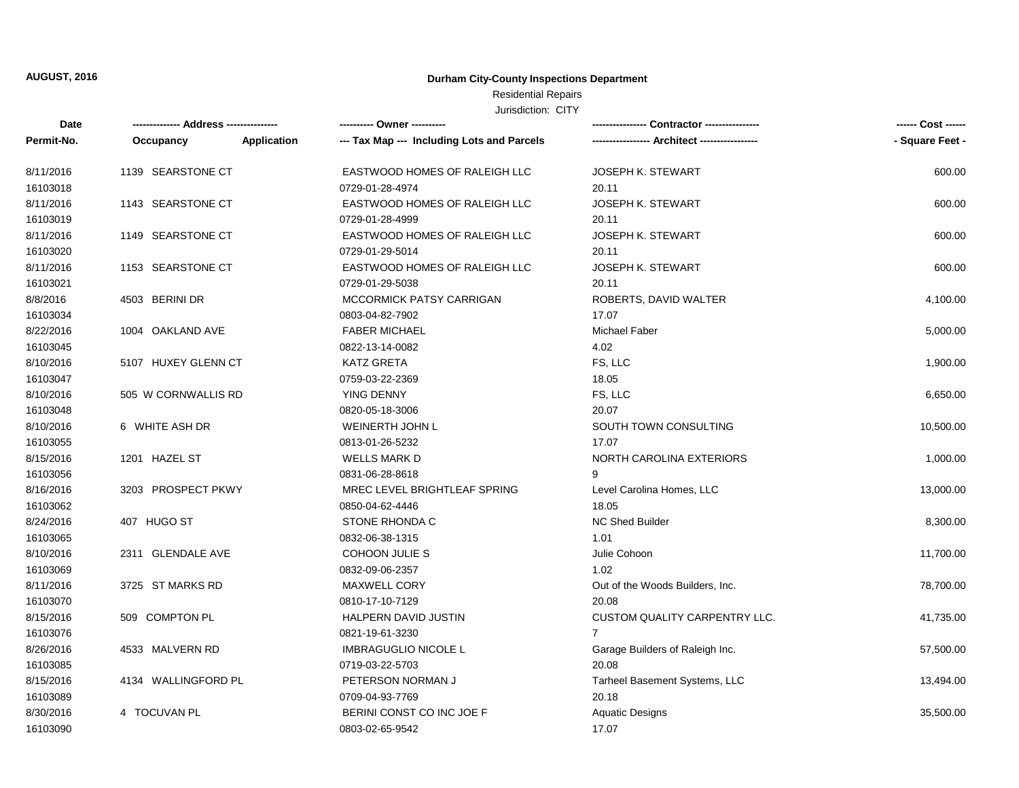#### **Durham City-County Inspections Department**

## Residential Repairs

| Date       |                     |             | --------- Owner ---------                  |                                 | ------ Cost ------ |
|------------|---------------------|-------------|--------------------------------------------|---------------------------------|--------------------|
| Permit-No. | Occupancy           | Application | --- Tax Map --- Including Lots and Parcels |                                 | - Square Feet -    |
| 8/11/2016  | 1139 SEARSTONE CT   |             | EASTWOOD HOMES OF RALEIGH LLC              | <b>JOSEPH K. STEWART</b>        | 600.00             |
| 16103018   |                     |             | 0729-01-28-4974                            | 20.11                           |                    |
| 8/11/2016  | 1143 SEARSTONE CT   |             | EASTWOOD HOMES OF RALEIGH LLC              | <b>JOSEPH K. STEWART</b>        | 600.00             |
| 16103019   |                     |             | 0729-01-28-4999                            | 20.11                           |                    |
| 8/11/2016  | 1149 SEARSTONE CT   |             | EASTWOOD HOMES OF RALEIGH LLC              | <b>JOSEPH K. STEWART</b>        | 600.00             |
| 16103020   |                     |             | 0729-01-29-5014                            | 20.11                           |                    |
| 8/11/2016  | 1153 SEARSTONE CT   |             | EASTWOOD HOMES OF RALEIGH LLC              | <b>JOSEPH K. STEWART</b>        | 600.00             |
| 16103021   |                     |             | 0729-01-29-5038                            | 20.11                           |                    |
| 8/8/2016   | 4503 BERINI DR      |             | <b>MCCORMICK PATSY CARRIGAN</b>            | ROBERTS, DAVID WALTER           | 4,100.00           |
| 16103034   |                     |             | 0803-04-82-7902                            | 17.07                           |                    |
| 8/22/2016  | 1004 OAKLAND AVE    |             | <b>FABER MICHAEL</b>                       | <b>Michael Faber</b>            | 5,000.00           |
| 16103045   |                     |             | 0822-13-14-0082                            | 4.02                            |                    |
| 8/10/2016  | 5107 HUXEY GLENN CT |             | <b>KATZ GRETA</b>                          | FS, LLC                         | 1,900.00           |
| 16103047   |                     |             | 0759-03-22-2369                            | 18.05                           |                    |
| 8/10/2016  | 505 W CORNWALLIS RD |             | YING DENNY                                 | FS, LLC                         | 6,650.00           |
| 16103048   |                     |             | 0820-05-18-3006                            | 20.07                           |                    |
| 8/10/2016  | 6 WHITE ASH DR      |             | WEINERTH JOHN L                            | SOUTH TOWN CONSULTING           | 10,500.00          |
| 16103055   |                     |             | 0813-01-26-5232                            | 17.07                           |                    |
| 8/15/2016  | 1201 HAZEL ST       |             | <b>WELLS MARK D</b>                        | NORTH CAROLINA EXTERIORS        | 1,000.00           |
| 16103056   |                     |             | 0831-06-28-8618                            | 9                               |                    |
| 8/16/2016  | 3203 PROSPECT PKWY  |             | MREC LEVEL BRIGHTLEAF SPRING               | Level Carolina Homes, LLC       | 13,000.00          |
| 16103062   |                     |             | 0850-04-62-4446                            | 18.05                           |                    |
| 8/24/2016  | 407 HUGO ST         |             | STONE RHONDA C                             | <b>NC Shed Builder</b>          | 8,300.00           |
| 16103065   |                     |             | 0832-06-38-1315                            | 1.01                            |                    |
| 8/10/2016  | 2311 GLENDALE AVE   |             | COHOON JULIE S                             | Julie Cohoon                    | 11,700.00          |
| 16103069   |                     |             | 0832-09-06-2357                            | 1.02                            |                    |
| 8/11/2016  | 3725 ST MARKS RD    |             | <b>MAXWELL CORY</b>                        | Out of the Woods Builders, Inc. | 78,700.00          |
| 16103070   |                     |             | 0810-17-10-7129                            | 20.08                           |                    |
| 8/15/2016  | 509 COMPTON PL      |             | HALPERN DAVID JUSTIN                       | CUSTOM QUALITY CARPENTRY LLC.   | 41,735.00          |
| 16103076   |                     |             | 0821-19-61-3230                            | $\overline{7}$                  |                    |
| 8/26/2016  | 4533 MALVERN RD     |             | <b>IMBRAGUGLIO NICOLE L</b>                | Garage Builders of Raleigh Inc. | 57,500.00          |
| 16103085   |                     |             | 0719-03-22-5703                            | 20.08                           |                    |
| 8/15/2016  | 4134 WALLINGFORD PL |             | PETERSON NORMAN J                          | Tarheel Basement Systems, LLC   | 13,494.00          |
| 16103089   |                     |             | 0709-04-93-7769                            | 20.18                           |                    |
| 8/30/2016  | 4 TOCUVAN PL        |             | BERINI CONST CO INC JOE F                  | <b>Aquatic Designs</b>          | 35,500.00          |
| 16103090   |                     |             | 0803-02-65-9542                            | 17.07                           |                    |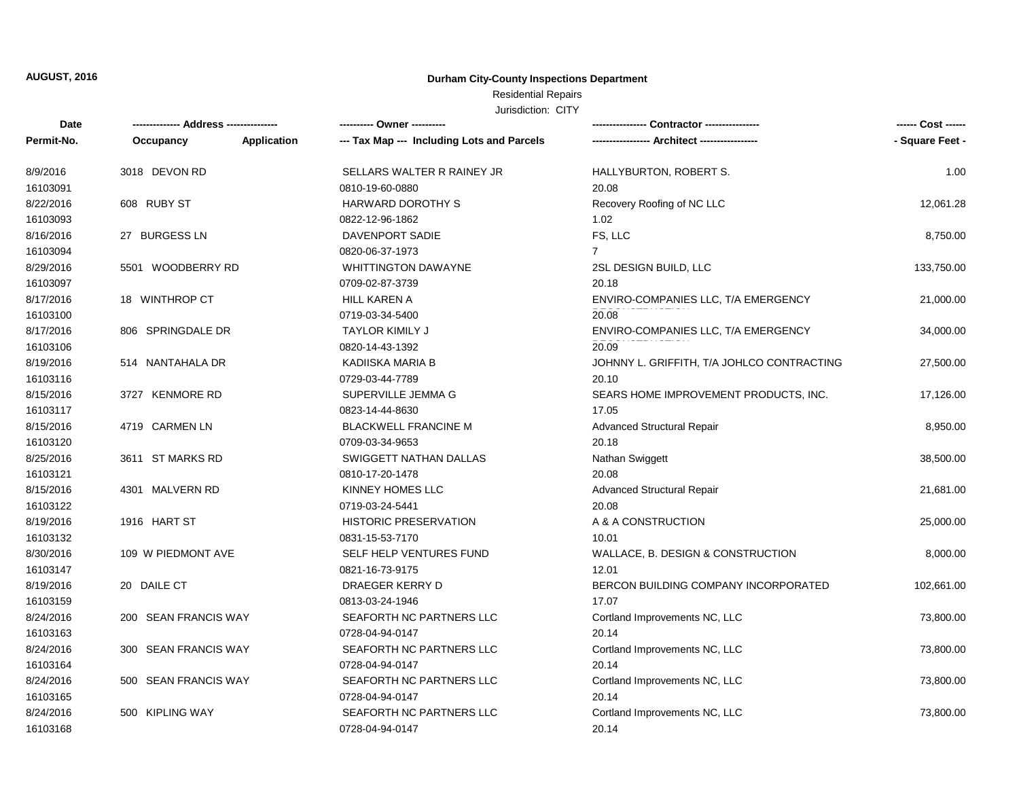#### **Durham City-County Inspections Department**

### Residential Repairs

| Date       |                      |             | ---------- Owner ----------                |                                            | ------ Cost ------ |
|------------|----------------------|-------------|--------------------------------------------|--------------------------------------------|--------------------|
| Permit-No. | Occupancy            | Application | --- Tax Map --- Including Lots and Parcels |                                            | - Square Feet -    |
| 8/9/2016   | 3018 DEVON RD        |             | SELLARS WALTER R RAINEY JR                 | HALLYBURTON, ROBERT S.                     | 1.00               |
| 16103091   |                      |             | 0810-19-60-0880                            | 20.08                                      |                    |
| 8/22/2016  | 608 RUBY ST          |             | <b>HARWARD DOROTHY S</b>                   | Recovery Roofing of NC LLC                 | 12,061.28          |
| 16103093   |                      |             | 0822-12-96-1862                            | 1.02                                       |                    |
| 8/16/2016  | 27 BURGESS LN        |             | DAVENPORT SADIE                            | FS, LLC                                    | 8,750.00           |
| 16103094   |                      |             | 0820-06-37-1973                            | $\overline{7}$                             |                    |
| 8/29/2016  | 5501 WOODBERRY RD    |             | <b>WHITTINGTON DAWAYNE</b>                 | 2SL DESIGN BUILD, LLC                      | 133,750.00         |
| 16103097   |                      |             | 0709-02-87-3739                            | 20.18                                      |                    |
| 8/17/2016  | 18 WINTHROP CT       |             | <b>HILL KAREN A</b>                        | ENVIRO-COMPANIES LLC, T/A EMERGENCY        | 21,000.00          |
| 16103100   |                      |             | 0719-03-34-5400                            | 20.08                                      |                    |
| 8/17/2016  | 806 SPRINGDALE DR    |             | <b>TAYLOR KIMILY J</b>                     | ENVIRO-COMPANIES LLC, T/A EMERGENCY        | 34,000.00          |
| 16103106   |                      |             | 0820-14-43-1392                            | 20.09                                      |                    |
| 8/19/2016  | 514 NANTAHALA DR     |             | KADIISKA MARIA B                           | JOHNNY L. GRIFFITH, T/A JOHLCO CONTRACTING | 27,500.00          |
| 16103116   |                      |             | 0729-03-44-7789                            | 20.10                                      |                    |
| 8/15/2016  | 3727 KENMORE RD      |             | SUPERVILLE JEMMA G                         | SEARS HOME IMPROVEMENT PRODUCTS, INC.      | 17,126.00          |
| 16103117   |                      |             | 0823-14-44-8630                            | 17.05                                      |                    |
| 8/15/2016  | 4719 CARMEN LN       |             | <b>BLACKWELL FRANCINE M</b>                | <b>Advanced Structural Repair</b>          | 8,950.00           |
| 16103120   |                      |             | 0709-03-34-9653                            | 20.18                                      |                    |
| 8/25/2016  | 3611 ST MARKS RD     |             | SWIGGETT NATHAN DALLAS                     | Nathan Swiggett                            | 38,500.00          |
| 16103121   |                      |             | 0810-17-20-1478                            | 20.08                                      |                    |
| 8/15/2016  | 4301 MALVERN RD      |             | KINNEY HOMES LLC                           | <b>Advanced Structural Repair</b>          | 21,681.00          |
| 16103122   |                      |             | 0719-03-24-5441                            | 20.08                                      |                    |
| 8/19/2016  | 1916 HART ST         |             | <b>HISTORIC PRESERVATION</b>               | A & A CONSTRUCTION                         | 25,000.00          |
| 16103132   |                      |             | 0831-15-53-7170                            | 10.01                                      |                    |
| 8/30/2016  | 109 W PIEDMONT AVE   |             | SELF HELP VENTURES FUND                    | WALLACE, B. DESIGN & CONSTRUCTION          | 8,000.00           |
| 16103147   |                      |             | 0821-16-73-9175                            | 12.01                                      |                    |
| 8/19/2016  | 20 DAILE CT          |             | DRAEGER KERRY D                            | BERCON BUILDING COMPANY INCORPORATED       | 102,661.00         |
| 16103159   |                      |             | 0813-03-24-1946                            | 17.07                                      |                    |
| 8/24/2016  | 200 SEAN FRANCIS WAY |             | SEAFORTH NC PARTNERS LLC                   | Cortland Improvements NC, LLC              | 73,800.00          |
| 16103163   |                      |             | 0728-04-94-0147                            | 20.14                                      |                    |
| 8/24/2016  | 300 SEAN FRANCIS WAY |             | SEAFORTH NC PARTNERS LLC                   | Cortland Improvements NC, LLC              | 73,800.00          |
| 16103164   |                      |             | 0728-04-94-0147                            | 20.14                                      |                    |
| 8/24/2016  | 500 SEAN FRANCIS WAY |             | SEAFORTH NC PARTNERS LLC                   | Cortland Improvements NC, LLC              | 73,800.00          |
| 16103165   |                      |             | 0728-04-94-0147                            | 20.14                                      |                    |
| 8/24/2016  | 500 KIPLING WAY      |             | SEAFORTH NC PARTNERS LLC                   | Cortland Improvements NC, LLC              | 73,800.00          |
| 16103168   |                      |             | 0728-04-94-0147                            | 20.14                                      |                    |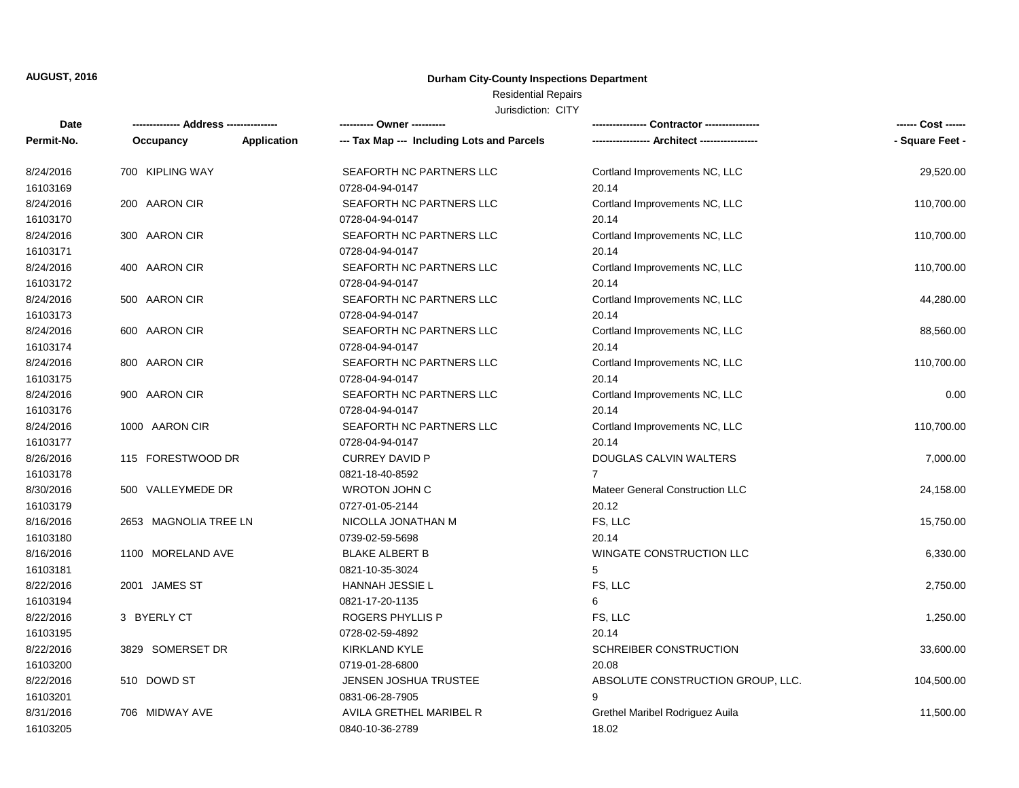#### **Durham City-County Inspections Department**

## Residential Repairs

| Date       |                       |             | ---------- Owner ----------                |                                   | ------ Cost ------ |
|------------|-----------------------|-------------|--------------------------------------------|-----------------------------------|--------------------|
| Permit-No. | Occupancy             | Application | --- Tax Map --- Including Lots and Parcels |                                   | - Square Feet -    |
| 8/24/2016  | 700 KIPLING WAY       |             | SEAFORTH NC PARTNERS LLC                   | Cortland Improvements NC, LLC     | 29,520.00          |
| 16103169   |                       |             | 0728-04-94-0147                            | 20.14                             |                    |
| 8/24/2016  | 200 AARON CIR         |             | SEAFORTH NC PARTNERS LLC                   | Cortland Improvements NC, LLC     | 110,700.00         |
| 16103170   |                       |             | 0728-04-94-0147                            | 20.14                             |                    |
| 8/24/2016  | 300 AARON CIR         |             | SEAFORTH NC PARTNERS LLC                   | Cortland Improvements NC, LLC     | 110,700.00         |
| 16103171   |                       |             | 0728-04-94-0147                            | 20.14                             |                    |
| 8/24/2016  | 400 AARON CIR         |             | SEAFORTH NC PARTNERS LLC                   | Cortland Improvements NC, LLC     | 110,700.00         |
| 16103172   |                       |             | 0728-04-94-0147                            | 20.14                             |                    |
| 8/24/2016  | 500 AARON CIR         |             | SEAFORTH NC PARTNERS LLC                   | Cortland Improvements NC, LLC     | 44,280.00          |
| 16103173   |                       |             | 0728-04-94-0147                            | 20.14                             |                    |
| 8/24/2016  | 600 AARON CIR         |             | SEAFORTH NC PARTNERS LLC                   | Cortland Improvements NC, LLC     | 88,560.00          |
| 16103174   |                       |             | 0728-04-94-0147                            | 20.14                             |                    |
| 8/24/2016  | 800 AARON CIR         |             | SEAFORTH NC PARTNERS LLC                   | Cortland Improvements NC, LLC     | 110,700.00         |
| 16103175   |                       |             | 0728-04-94-0147                            | 20.14                             |                    |
| 8/24/2016  | 900 AARON CIR         |             | SEAFORTH NC PARTNERS LLC                   | Cortland Improvements NC, LLC     | 0.00               |
| 16103176   |                       |             | 0728-04-94-0147                            | 20.14                             |                    |
| 8/24/2016  | 1000 AARON CIR        |             | SEAFORTH NC PARTNERS LLC                   | Cortland Improvements NC, LLC     | 110,700.00         |
| 16103177   |                       |             | 0728-04-94-0147                            | 20.14                             |                    |
| 8/26/2016  | 115 FORESTWOOD DR     |             | <b>CURREY DAVID P</b>                      | DOUGLAS CALVIN WALTERS            | 7,000.00           |
| 16103178   |                       |             | 0821-18-40-8592                            | $\overline{7}$                    |                    |
| 8/30/2016  | 500 VALLEYMEDE DR     |             | <b>WROTON JOHN C</b>                       | Mateer General Construction LLC   | 24,158.00          |
| 16103179   |                       |             | 0727-01-05-2144                            | 20.12                             |                    |
| 8/16/2016  | 2653 MAGNOLIA TREE LN |             | NICOLLA JONATHAN M                         | FS, LLC                           | 15,750.00          |
| 16103180   |                       |             | 0739-02-59-5698                            | 20.14                             |                    |
| 8/16/2016  | 1100 MORELAND AVE     |             | <b>BLAKE ALBERT B</b>                      | WINGATE CONSTRUCTION LLC          | 6,330.00           |
| 16103181   |                       |             | 0821-10-35-3024                            | 5                                 |                    |
| 8/22/2016  | 2001 JAMES ST         |             | <b>HANNAH JESSIE L</b>                     | FS, LLC                           | 2,750.00           |
| 16103194   |                       |             | 0821-17-20-1135                            | 6                                 |                    |
| 8/22/2016  | 3 BYERLY CT           |             | ROGERS PHYLLIS P                           | FS, LLC                           | 1,250.00           |
| 16103195   |                       |             | 0728-02-59-4892                            | 20.14                             |                    |
| 8/22/2016  | 3829 SOMERSET DR      |             | <b>KIRKLAND KYLE</b>                       | SCHREIBER CONSTRUCTION            | 33,600.00          |
| 16103200   |                       |             | 0719-01-28-6800                            | 20.08                             |                    |
| 8/22/2016  | 510 DOWD ST           |             | <b>JENSEN JOSHUA TRUSTEE</b>               | ABSOLUTE CONSTRUCTION GROUP, LLC. | 104,500.00         |
| 16103201   |                       |             | 0831-06-28-7905                            | 9                                 |                    |
| 8/31/2016  | 706 MIDWAY AVE        |             | AVILA GRETHEL MARIBEL R                    | Grethel Maribel Rodriguez Auila   | 11,500.00          |
| 16103205   |                       |             | 0840-10-36-2789                            | 18.02                             |                    |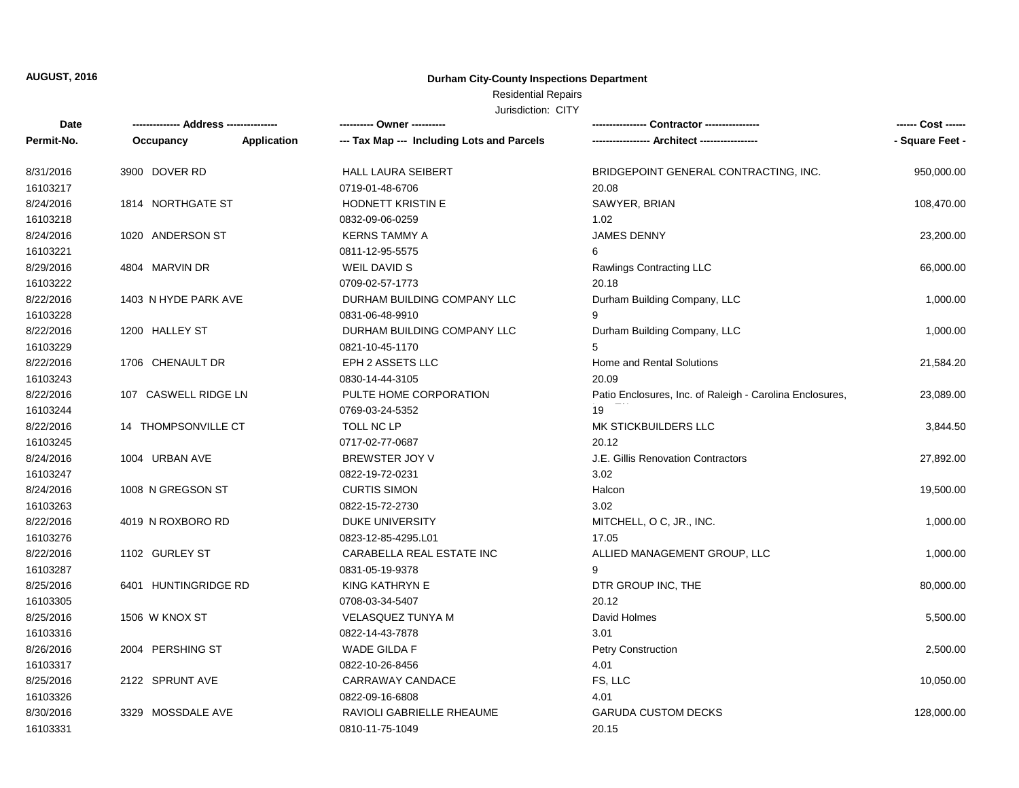#### **Durham City-County Inspections Department**

# Residential Repairs

| Date       | ------------- Address --------------- |             | ---------- Owner ----------                |                                                          | ------ Cost ------ |
|------------|---------------------------------------|-------------|--------------------------------------------|----------------------------------------------------------|--------------------|
| Permit-No. | Occupancy                             | Application | --- Tax Map --- Including Lots and Parcels |                                                          | - Square Feet -    |
| 8/31/2016  | 3900 DOVER RD                         |             | HALL LAURA SEIBERT                         | BRIDGEPOINT GENERAL CONTRACTING, INC.                    | 950,000.00         |
| 16103217   |                                       |             | 0719-01-48-6706                            | 20.08                                                    |                    |
| 8/24/2016  | 1814 NORTHGATE ST                     |             | HODNETT KRISTIN E                          | SAWYER, BRIAN                                            | 108,470.00         |
| 16103218   |                                       |             | 0832-09-06-0259                            | 1.02                                                     |                    |
| 8/24/2016  | 1020 ANDERSON ST                      |             | <b>KERNS TAMMY A</b>                       | <b>JAMES DENNY</b>                                       | 23,200.00          |
| 16103221   |                                       |             | 0811-12-95-5575                            | 6                                                        |                    |
| 8/29/2016  | 4804 MARVIN DR                        |             | WEIL DAVID S                               | Rawlings Contracting LLC                                 | 66,000.00          |
| 16103222   |                                       |             | 0709-02-57-1773                            | 20.18                                                    |                    |
| 8/22/2016  | 1403 N HYDE PARK AVE                  |             | DURHAM BUILDING COMPANY LLC                | Durham Building Company, LLC                             | 1,000.00           |
| 16103228   |                                       |             | 0831-06-48-9910                            | 9                                                        |                    |
| 8/22/2016  | 1200 HALLEY ST                        |             | DURHAM BUILDING COMPANY LLC                | Durham Building Company, LLC                             | 1,000.00           |
| 16103229   |                                       |             | 0821-10-45-1170                            | 5                                                        |                    |
| 8/22/2016  | 1706 CHENAULT DR                      |             | EPH 2 ASSETS LLC                           | Home and Rental Solutions                                | 21,584.20          |
| 16103243   |                                       |             | 0830-14-44-3105                            | 20.09                                                    |                    |
| 8/22/2016  | 107 CASWELL RIDGE LN                  |             | PULTE HOME CORPORATION                     | Patio Enclosures, Inc. of Raleigh - Carolina Enclosures, | 23,089.00          |
| 16103244   |                                       |             | 0769-03-24-5352                            | 19                                                       |                    |
| 8/22/2016  | 14 THOMPSONVILLE CT                   |             | TOLL NC LP                                 | MK STICKBUILDERS LLC                                     | 3,844.50           |
| 16103245   |                                       |             | 0717-02-77-0687                            | 20.12                                                    |                    |
| 8/24/2016  | 1004 URBAN AVE                        |             | BREWSTER JOY V                             | J.E. Gillis Renovation Contractors                       | 27,892.00          |
| 16103247   |                                       |             | 0822-19-72-0231                            | 3.02                                                     |                    |
| 8/24/2016  | 1008 N GREGSON ST                     |             | <b>CURTIS SIMON</b>                        | Halcon                                                   | 19,500.00          |
| 16103263   |                                       |             | 0822-15-72-2730                            | 3.02                                                     |                    |
| 8/22/2016  | 4019 N ROXBORO RD                     |             | <b>DUKE UNIVERSITY</b>                     | MITCHELL, O C, JR., INC.                                 | 1,000.00           |
| 16103276   |                                       |             | 0823-12-85-4295.L01                        | 17.05                                                    |                    |
| 8/22/2016  | 1102 GURLEY ST                        |             | CARABELLA REAL ESTATE INC                  | ALLIED MANAGEMENT GROUP, LLC                             | 1,000.00           |
| 16103287   |                                       |             | 0831-05-19-9378                            | 9                                                        |                    |
| 8/25/2016  | 6401 HUNTINGRIDGE RD                  |             | KING KATHRYN E                             | DTR GROUP INC, THE                                       | 80,000.00          |
| 16103305   |                                       |             | 0708-03-34-5407                            | 20.12                                                    |                    |
| 8/25/2016  | 1506 W KNOX ST                        |             | <b>VELASQUEZ TUNYA M</b>                   | David Holmes                                             | 5,500.00           |
| 16103316   |                                       |             | 0822-14-43-7878                            | 3.01                                                     |                    |
| 8/26/2016  | 2004 PERSHING ST                      |             | WADE GILDA F                               | Petry Construction                                       | 2,500.00           |
| 16103317   |                                       |             | 0822-10-26-8456                            | 4.01                                                     |                    |
| 8/25/2016  | 2122 SPRUNT AVE                       |             | CARRAWAY CANDACE                           | FS, LLC                                                  | 10,050.00          |
| 16103326   |                                       |             | 0822-09-16-6808                            | 4.01                                                     |                    |
| 8/30/2016  | 3329 MOSSDALE AVE                     |             | RAVIOLI GABRIELLE RHEAUME                  | <b>GARUDA CUSTOM DECKS</b>                               | 128,000.00         |
| 16103331   |                                       |             | 0810-11-75-1049                            | 20.15                                                    |                    |